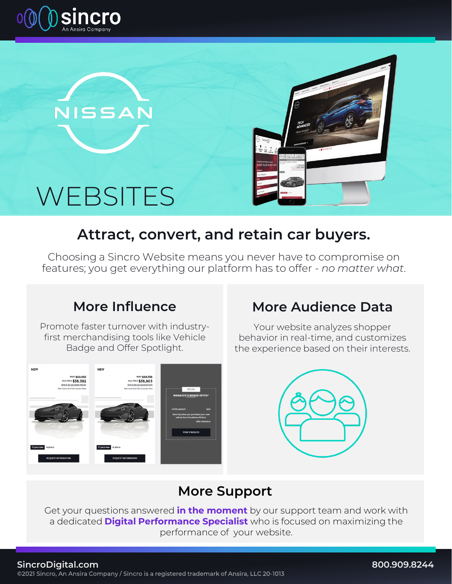



**NISSAN** 



## **Attract, convert, and retain car buyers.**

Choosing a Sincro Website means you never have to compromise on features; you get everything our platform has to offer - *no matter what*.

## **More Influence**

Promote faster turnover with industryfirst merchandising tools like Vehicle Badge and Offer Spotlight.



### **More Audience Data**

Your website analyzes shopper behavior in real-time, and customizes the experience based on their interests.



## **More Support**

Get your questions answered **in the moment** by our support team and work with a dedicated **Digital Performance Specialist** who is focused on maximizing the performance of your website.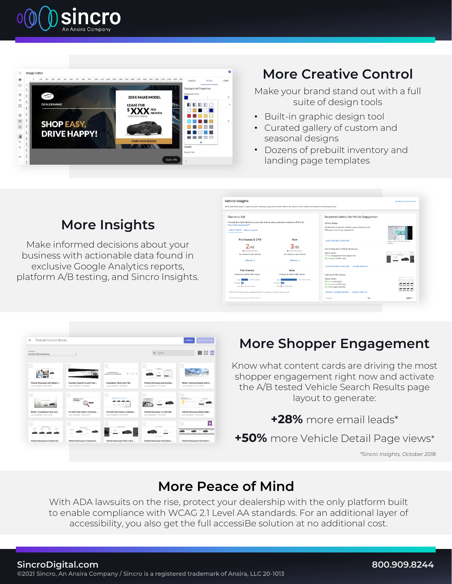



## **More Creative Control**

Make your brand stand out with a full suite of design tools

- Built-in graphic design tool
- Curated gallery of custom and seasonal designs
- Dozens of prebuilt inventory and landing page templates

#### Chance to Sell Recommendations for Vehicle Engagemen Pre-Owned & CPO New  $2/40$  $3/59$ chance to sell veh MEM ALL 2 Pre-Owned<br>se to Sell & VDP New<br>ce to Sell & VDP View

**Vehicle Insights** 

## **More Insights**

Make informed decisions about your business with actionable data found in exclusive Google Analytics reports, platform A/B testing, and Sincro Insights.



## **More Shopper Engagement**

Know what content cards are driving the most shopper engagement right now and activate the A/B tested Vehicle Search Results page layout to generate:

**+28%** more email leads\*

**+50%** more Vehicle Detail Page views\*

*\*Sincro Insights, October 2018*

### **More Peace of Mind**

With ADA lawsuits on the rise, protect your dealership with the only platform built to enable compliance with WCAG 2.1 Level AA standards. For an additional layer of accessibility, you also get the full accessiBe solution at no additional cost.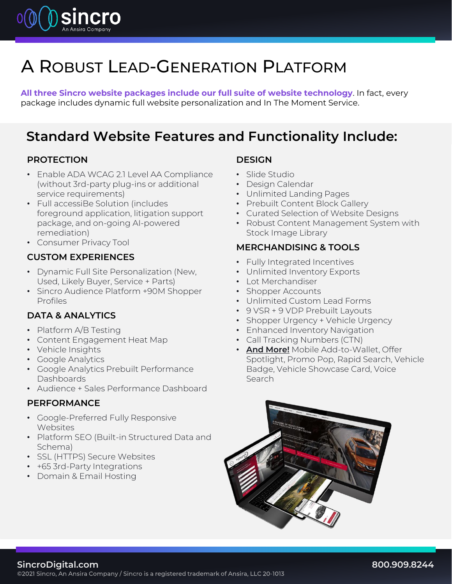

## A ROBUST LEAD-GENERATION PLATFORM

**All three Sincro website packages include our full suite of website technology**. In fact, every package includes dynamic full website personalization and In The Moment Service.

### **Standard Website Features and Functionality Include:**

#### **PROTECTION**

- Enable ADA WCAG 2.1 Level AA Compliance (without 3rd-party plug-ins or additional service requirements)
- Full accessiBe Solution (includes foreground application, litigation support package, and on-going AI-powered remediation)
- Consumer Privacy Tool

#### **CUSTOM EXPERIENCES**

- Dynamic Full Site Personalization (New, Used, Likely Buyer, Service + Parts)
- Sincro Audience Platform +90M Shopper Profiles

#### **DATA & ANALYTICS**

- Platform A/B Testing
- Content Engagement Heat Map
- Vehicle Insights
- Google Analytics
- Google Analytics Prebuilt Performance Dashboards
- Audience + Sales Performance Dashboard

#### **PERFORMANCE**

- Google-Preferred Fully Responsive Websites
- Platform SEO (Built-in Structured Data and Schema)
- SSL (HTTPS) Secure Websites
- +65 3rd-Party Integrations
- Domain & Email Hosting

#### **DESIGN**

- Slide Studio
- Design Calendar
- Unlimited Landing Pages
- Prebuilt Content Block Gallery
- Curated Selection of Website Designs
- Robust Content Management System with Stock Image Library

#### **MERCHANDISING & TOOLS**

- Fully Integrated Incentives
- Unlimited Inventory Exports
- Lot Merchandiser
- Shopper Accounts
- Unlimited Custom Lead Forms
- 9 VSR + 9 VDP Prebuilt Layouts
- Shopper Urgency + Vehicle Urgency
- Enhanced Inventory Navigation
- Call Tracking Numbers (CTN)
- **And More!** Mobile Add-to-Wallet, Offer Spotlight, Promo Pop, Rapid Search, Vehicle Badge, Vehicle Showcase Card, Voice Search



**SincroDigital.com**<br>©2021 Sincro, An Ansira Company / Sincro is a registered trademark of Ansira, LLC 20-1013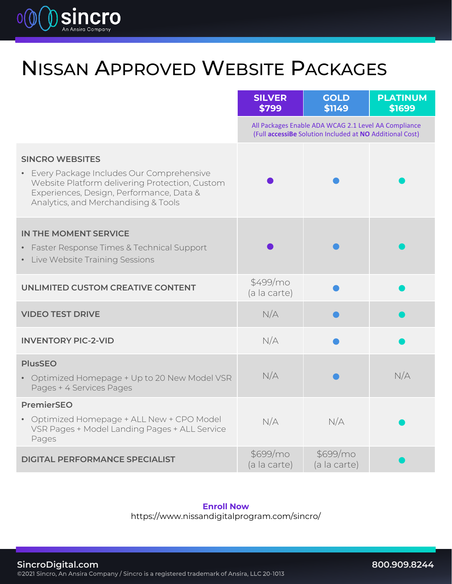

## NISSAN APPROVED WEBSITE PACKAGES

|                                                                                                                                                                                                            | <b>SILVER</b><br>\$799                                                                                           | <b>GOLD</b><br>\$1149    | <b>PLATINUM</b><br>\$1699 |
|------------------------------------------------------------------------------------------------------------------------------------------------------------------------------------------------------------|------------------------------------------------------------------------------------------------------------------|--------------------------|---------------------------|
|                                                                                                                                                                                                            | All Packages Enable ADA WCAG 2.1 Level AA Compliance<br>(Full accessiBe Solution Included at NO Additional Cost) |                          |                           |
| <b>SINCRO WEBSITES</b><br>• Every Package Includes Our Comprehensive<br>Website Platform delivering Protection, Custom<br>Experiences, Design, Performance, Data &<br>Analytics, and Merchandising & Tools |                                                                                                                  |                          |                           |
| IN THE MOMENT SERVICE<br>• Faster Response Times & Technical Support<br>• Live Website Training Sessions                                                                                                   |                                                                                                                  |                          |                           |
| <b>UNLIMITED CUSTOM CREATIVE CONTENT</b>                                                                                                                                                                   | \$499/mo<br>(a la carte)                                                                                         |                          |                           |
| <b>VIDEO TEST DRIVE</b>                                                                                                                                                                                    | N/A                                                                                                              |                          |                           |
| <b>INVENTORY PIC-2-VID</b>                                                                                                                                                                                 | N/A                                                                                                              |                          |                           |
| <b>PlusSEO</b><br>• Optimized Homepage + Up to 20 New Model VSR<br>Pages + 4 Services Pages                                                                                                                | N/A                                                                                                              |                          | N/A                       |
| <b>PremierSEO</b><br>• Optimized Homepage + ALL New + CPO Model<br>VSR Pages + Model Landing Pages + ALL Service<br>Pages                                                                                  | N/A                                                                                                              | N/A                      |                           |
| <b>DIGITAL PERFORMANCE SPECIALIST</b>                                                                                                                                                                      | \$699/mo<br>(a la carte)                                                                                         | \$699/mo<br>(a la carte) |                           |

#### **Enroll Now**

https://www.nissandigitalprogram.com/sincro/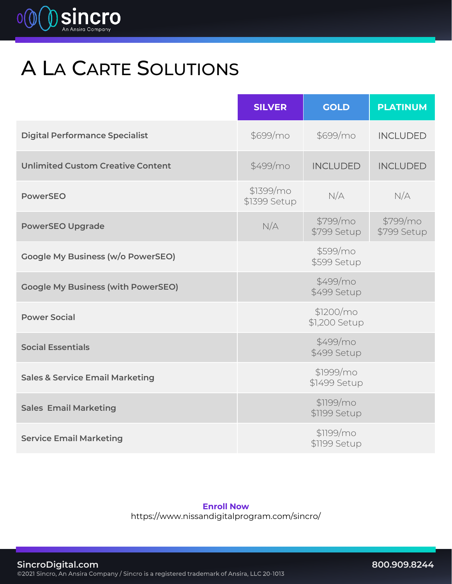

# A LA CARTE SOLUTIONS

|                                            | <b>SILVER</b>             | <b>GOLD</b>                | <b>PLATINUM</b>         |
|--------------------------------------------|---------------------------|----------------------------|-------------------------|
| <b>Digital Performance Specialist</b>      | \$699/mo                  | \$699/mo                   | <b>INCLUDED</b>         |
| <b>Unlimited Custom Creative Content</b>   | \$499/mo                  | <b>INCLUDED</b>            | <b>INCLUDED</b>         |
| <b>PowerSEO</b>                            | \$1399/mo<br>\$1399 Setup | N/A                        | N/A                     |
| <b>PowerSEO Upgrade</b>                    | N/A                       | \$799/mo<br>\$799 Setup    | \$799/mo<br>\$799 Setup |
| <b>Google My Business (w/o PowerSEO)</b>   |                           | \$599/mo<br>\$599 Setup    |                         |
| <b>Google My Business (with PowerSEO)</b>  |                           | \$499/mo<br>\$499 Setup    |                         |
| <b>Power Social</b>                        |                           | \$1200/mo<br>\$1,200 Setup |                         |
| <b>Social Essentials</b>                   |                           | \$499/mo<br>\$499 Setup    |                         |
| <b>Sales &amp; Service Email Marketing</b> |                           | \$1999/mo<br>\$1499 Setup  |                         |
| <b>Sales Email Marketing</b>               |                           | \$1199/mo<br>\$1199 Setup  |                         |
| <b>Service Email Marketing</b>             |                           | \$1199/mo<br>\$1199 Setup  |                         |

**Enroll Now**

https://www.nissandigitalprogram.com/sincro/